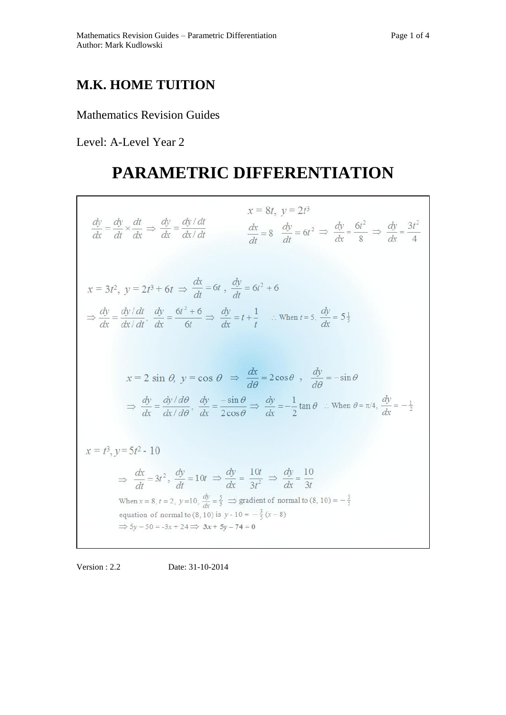## **M.K. HOME TUITION**

### Mathematics Revision Guides

Level: A-Level Year 2

# **PARAMETRIC DIFFERENTIATION**

| $x = 8t$ , $y = 2t^3$<br>$\frac{dy}{dx} = \frac{dy}{dt} \times \frac{dt}{dx} \Rightarrow \frac{dy}{dx} = \frac{dy/dt}{dx/dt}$<br>$\frac{dx}{dt} = 8$ $\frac{dy}{dt} = 6t^2 \implies \frac{dy}{dt} = \frac{6t^2}{8} \implies \frac{dy}{dt} = \frac{3t^2}{4}$                                                                                                                                                                                            |
|--------------------------------------------------------------------------------------------------------------------------------------------------------------------------------------------------------------------------------------------------------------------------------------------------------------------------------------------------------------------------------------------------------------------------------------------------------|
| $x = 3t^2$ , $y = 2t^3 + 6t \Rightarrow \frac{dx}{dt} = 6t$ , $\frac{dy}{dt} = 6t^2 + 6$<br>$\Rightarrow \frac{dy}{dx} = \frac{dy/dt}{dx/dt}, \frac{dy}{dx} = \frac{6t^2 + 6}{6t} \Rightarrow \frac{dy}{dx} = t + \frac{1}{t}$ . When $t = 5$ , $\frac{dy}{dx} = 5\frac{1}{5}$                                                                                                                                                                         |
| $x = 2 \sin \theta$ , $y = \cos \theta \implies \frac{dx}{d\theta} = 2\cos \theta$ , $\frac{dy}{d\theta} = -\sin \theta$<br>$\Rightarrow \frac{dy}{dx} = \frac{dy/d\theta}{dx/d\theta}, \frac{dy}{dx} = \frac{-\sin\theta}{2\cos\theta} \Rightarrow \frac{dy}{dx} = -\frac{1}{2}\tan\theta$ : When $\theta = \pi/4$ , $\frac{dy}{dx} = -\frac{1}{2}$                                                                                                   |
| $x = t^3$ , $y = 5t^2 - 10$<br>$\Rightarrow \frac{dx}{dt} = 3t^2$ , $\frac{dy}{dt} = 10t \Rightarrow \frac{dy}{dt} = \frac{10t}{3t^2} \Rightarrow \frac{dy}{dt} = \frac{10}{3t}$<br>When $x = 8$ , $t = 2$ , $y=10$ , $\frac{dy}{dx} = \frac{5}{3}$ $\Rightarrow$ gradient of normal to $(8, 10) = -\frac{3}{5}$<br>equation of normal to (8, 10) is $y - 10 = -\frac{3}{5}(x - 8)$<br>$\Rightarrow$ 5y - 50 = -3x + 24 $\Rightarrow$ 3x + 5y - 74 = 0 |

Version : 2.2 Date: 31-10-2014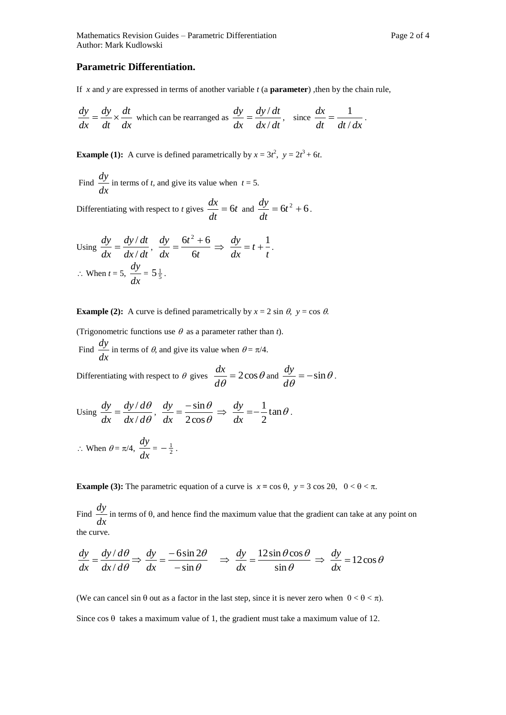### **Parametric Differentiation.**

If *x* and *y* are expressed in terms of another variable *t* (a **parameter**) ,then by the chain rule,

$$
\frac{dy}{dx} = \frac{dy}{dt} \times \frac{dt}{dx}
$$
 which can be rearranged as 
$$
\frac{dy}{dx} = \frac{dy/dt}{dx/dt}
$$
, since 
$$
\frac{dx}{dt} = \frac{1}{dt/dx}
$$
.

**Example (1):** A curve is defined parametrically by  $x = 3t^2$ ,  $y = 2t^3 + 6t$ .

Find  $\frac{dy}{dx}$  $\frac{dy}{dx}$  in terms of *t*, and give its value when *t* = 5.

Differentiating with respect to *t* gives  $\frac{dx}{dt} = 6t$ *dt*  $\frac{dx}{dt} = 6t$  and  $\frac{dy}{dt} = 6t^2 + 6$ *dt*  $\frac{dy}{dx} = 6t^2 + 6$ .

Using 
$$
\frac{dy}{dx} = \frac{dy/dt}{dx/dt}
$$
,  $\frac{dy}{dx} = \frac{6t^2 + 6}{6t} \Rightarrow \frac{dy}{dx} = t + \frac{1}{t}$ .  
\n $\therefore$  When  $t = 5$ ,  $\frac{dy}{dx} = 5\frac{1}{5}$ .

**Example (2):** A curve is defined parametrically by  $x = 2 \sin \theta$ ,  $y = \cos \theta$ .

(Trigonometric functions use  $\theta$  as a parameter rather than *t*). Find *dx*  $\frac{dy}{dx}$  in terms of  $\theta$ , and give its value when  $\theta = \pi/4$ .

Differentiating with respect to  $\theta$  gives  $\frac{d\theta}{dx} = 2\cos\theta$  $\frac{x}{\theta} = 2\cos\theta$ *d*  $\frac{dx}{dt} = 2\cos\theta$  and  $\frac{dy}{dt} = -\sin\theta$  $\frac{\partial y}{\partial t} = -\sin \theta$ *d*  $\frac{dy}{dx} = -\sin\theta$ .

Using 
$$
\frac{dy}{dx} = \frac{dy/d\theta}{dx/d\theta}
$$
,  $\frac{dy}{dx} = \frac{-\sin\theta}{2\cos\theta} \Rightarrow \frac{dy}{dx} = -\frac{1}{2}\tan\theta$ .  
\n $\therefore$  When  $\theta = \pi/4$ ,  $\frac{dy}{dx} = -\frac{1}{2}$ .

**Example (3):** The parametric equation of a curve is  $x = \cos \theta$ ,  $y = 3 \cos 2\theta$ ,  $0 < \theta < \pi$ .

Find  $\frac{dy}{dx}$  $\frac{dy}{dx}$  in terms of  $\theta$ , and hence find the maximum value that the gradient can take at any point on the curve.

$$
\frac{dy}{dx} = \frac{dy/d\theta}{dx/d\theta} \Rightarrow \frac{dy}{dx} = \frac{-6\sin 2\theta}{-\sin \theta} \Rightarrow \frac{dy}{dx} = \frac{12\sin \theta \cos \theta}{\sin \theta} \Rightarrow \frac{dy}{dx} = 12\cos \theta
$$

(We can cancel sin  $\theta$  out as a factor in the last step, since it is never zero when  $0 < \theta < \pi$ ). Since  $\cos \theta$  takes a maximum value of 1, the gradient must take a maximum value of 12.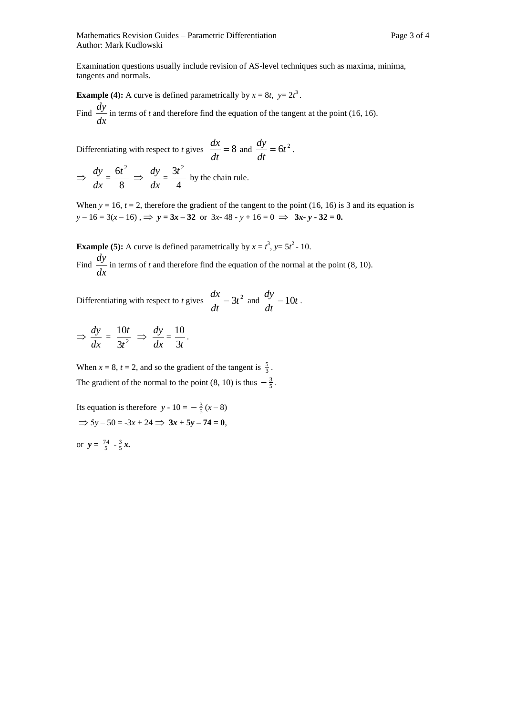Examination questions usually include revision of AS-level techniques such as maxima, minima, tangents and normals.

**Example (4):** A curve is defined parametrically by  $x = 8t$ ,  $y = 2t^3$ . Find  $\frac{dy}{dx}$  $\frac{dy}{dx}$  in terms of *t* and therefore find the equation of the tangent at the point (16, 16).

Differentiating with respect to *t* gives  $\frac{dx}{1} = 8$ *dt*  $\frac{dx}{dt} = 8$  and  $\frac{dy}{dt} = 6t^2$ *dt*  $\frac{dy}{dx} = 6t^2$ .

 $\Rightarrow$ *dx*  $rac{dy}{dx} = \frac{6t}{8}$  $\frac{6t^2}{2} \Rightarrow$ *dx*  $rac{dy}{dx} = \frac{3t}{4}$  $\frac{3t^2}{t}$  by the chain rule.

When  $y = 16$ ,  $t = 2$ , therefore the gradient of the tangent to the point (16, 16) is 3 and its equation is  $y - 16 = 3(x - 16)$ ,  $\implies y = 3x - 32$  or  $3x - 48 - y + 16 = 0 \implies 3x - y - 32 = 0$ .

**Example (5):** A curve is defined parametrically by  $x = t^3$ ,  $y = 5t^2 - 10$ . Find  $\frac{dy}{dx}$  $\frac{dy}{dx}$  in terms of *t* and therefore find the equation of the normal at the point (8, 10).

Differentiating with respect to *t* gives  $\frac{dx}{1} = 3t^2$ *dt*  $\frac{dx}{dt} = 3t^2$  and  $\frac{dy}{dt} = 10t$ *dt*  $\frac{dy}{dx} = 10t$ .

$$
\Rightarrow \frac{dy}{dx} = \frac{10t}{3t^2} \Rightarrow \frac{dy}{dx} = \frac{10}{3t}.
$$

When  $x = 8$ ,  $t = 2$ , and so the gradient of the tangent is  $\frac{5}{3}$ . The gradient of the normal to the point (8, 10) is thus  $-\frac{3}{5}$ .

Its equation is therefore  $y - 10 = -\frac{3}{5}(x - 8)$  $\Rightarrow$  5 $y - 50 = -3x + 24 \Rightarrow 3x + 5y - 74 = 0$ or  $y = \frac{74}{5} - \frac{3}{5}x$ .